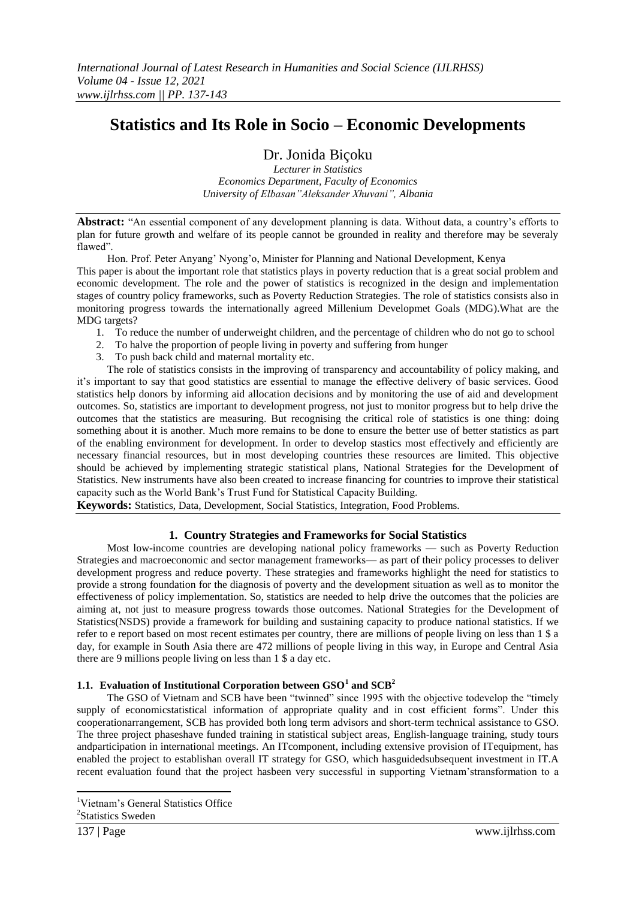## **Statistics and Its Role in Socio – Economic Developments**

## Dr. Jonida Biçoku

*Lecturer in Statistics Economics Department, Faculty of Economics University of Elbasan"Aleksander Xhuvani", Albania*

Abstract: "An essential component of any development planning is data. Without data, a country's efforts to plan for future growth and welfare of its people cannot be grounded in reality and therefore may be severaly flawed".

Hon. Prof. Peter Anyang' Nyong'o, Minister for Planning and National Development, Kenya This paper is about the important role that statistics plays in poverty reduction that is a great social problem and economic development. The role and the power of statistics is recognized in the design and implementation stages of country policy frameworks, such as Poverty Reduction Strategies. The role of statistics consists also in monitoring progress towards the internationally agreed Millenium Developmet Goals (MDG).What are the MDG targets?

- 1. To reduce the number of underweight children, and the percentage of children who do not go to school
- 2. To halve the proportion of people living in poverty and suffering from hunger
- 3. To push back child and maternal mortality etc.

The role of statistics consists in the improving of transparency and accountability of policy making, and it's important to say that good statistics are essential to manage the effective delivery of basic services. Good statistics help donors by informing aid allocation decisions and by monitoring the use of aid and development outcomes. So, statistics are important to development progress, not just to monitor progress but to help drive the outcomes that the statistics are measuring. But recognising the critical role of statistics is one thing: doing something about it is another. Much more remains to be done to ensure the better use of better statistics as part of the enabling environment for development. In order to develop stastics most effectively and efficiently are necessary financial resources, but in most developing countries these resources are limited. This objective should be achieved by implementing strategic statistical plans, National Strategies for the Development of Statistics. New instruments have also been created to increase financing for countries to improve their statistical capacity such as the World Bank's Trust Fund for Statistical Capacity Building.

**Keywords:** Statistics, Data, Development, Social Statistics, Integration, Food Problems.

## **1. Country Strategies and Frameworks for Social Statistics**

Most low-income countries are developing national policy frameworks — such as Poverty Reduction Strategies and macroeconomic and sector management frameworks— as part of their policy processes to deliver development progress and reduce poverty. These strategies and frameworks highlight the need for statistics to provide a strong foundation for the diagnosis of poverty and the development situation as well as to monitor the effectiveness of policy implementation. So, statistics are needed to help drive the outcomes that the policies are aiming at, not just to measure progress towards those outcomes. National Strategies for the Development of Statistics(NSDS) provide a framework for building and sustaining capacity to produce national statistics. If we refer to e report based on most recent estimates per country, there are millions of people living on less than 1 \$ a day, for example in South Asia there are 472 millions of people living in this way, in Europe and Central Asia there are 9 millions people living on less than 1 \$ a day etc.

## **1.1. Evaluation of Institutional Corporation between GSO<sup>1</sup> and SCB<sup>2</sup>**

The GSO of Vietnam and SCB have been "twinned" since 1995 with the objective todevelop the "timely supply of economicstatistical information of appropriate quality and in cost efficient forms". Under this cooperationarrangement, SCB has provided both long term advisors and short-term technical assistance to GSO. The three project phaseshave funded training in statistical subject areas, English-language training, study tours andparticipation in international meetings. An ITcomponent, including extensive provision of ITequipment, has enabled the project to establishan overall IT strategy for GSO, which hasguidedsubsequent investment in IT.A recent evaluation found that the project hasbeen very successful in supporting Vietnam'stransformation to a

**<sup>.</sup>** <sup>1</sup>Vietnam's General Statistics Office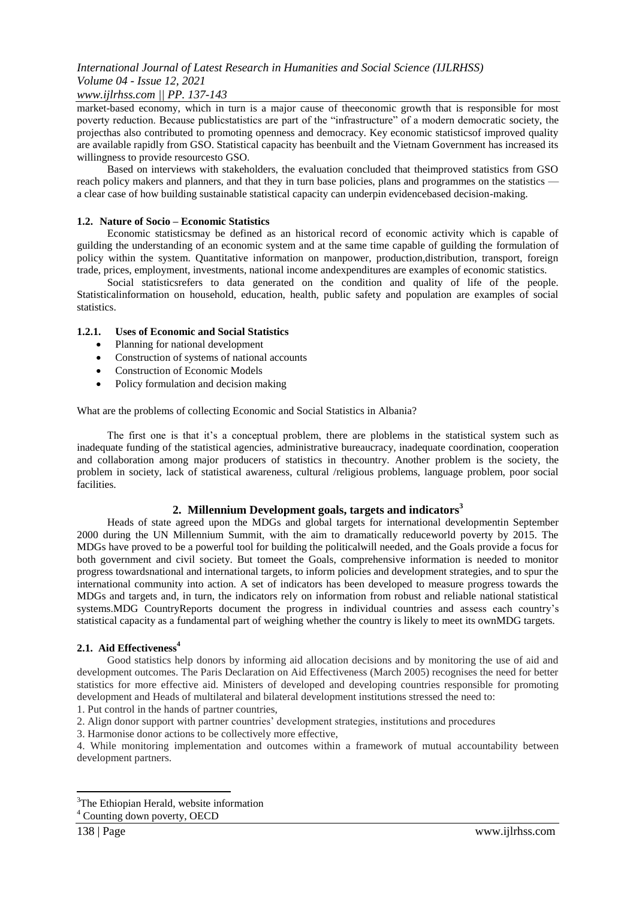## *www.ijlrhss.com || PP. 137-143*

market-based economy, which in turn is a major cause of theeconomic growth that is responsible for most poverty reduction. Because publicstatistics are part of the "infrastructure" of a modern democratic society, the projecthas also contributed to promoting openness and democracy. Key economic statisticsof improved quality are available rapidly from GSO. Statistical capacity has beenbuilt and the Vietnam Government has increased its willingness to provide resourcesto GSO.

Based on interviews with stakeholders, the evaluation concluded that theimproved statistics from GSO reach policy makers and planners, and that they in turn base policies, plans and programmes on the statistics a clear case of how building sustainable statistical capacity can underpin evidencebased decision-making.

#### **1.2. Nature of Socio – Economic Statistics**

Economic statisticsmay be defined as an historical record of economic activity which is capable of guilding the understanding of an economic system and at the same time capable of guilding the formulation of policy within the system. Quantitative information on manpower, production,distribution, transport, foreign trade, prices, employment, investments, national income andexpenditures are examples of economic statistics.

Social statisticsrefers to data generated on the condition and quality of life of the people. Statisticalinformation on household, education, health, public safety and population are examples of social statistics.

#### **1.2.1. Uses of Economic and Social Statistics**

- Planning for national development
- Construction of systems of national accounts
- Construction of Economic Models
- Policy formulation and decision making

What are the problems of collecting Economic and Social Statistics in Albania?

The first one is that it's a conceptual problem, there are ploblems in the statistical system such as inadequate funding of the statistical agencies, administrative bureaucracy, inadequate coordination, cooperation and collaboration among major producers of statistics in thecountry. Another problem is the society, the problem in society, lack of statistical awareness, cultural /religious problems, language problem, poor social facilities.

#### **2. Millennium Development goals, targets and indicators<sup>3</sup>**

Heads of state agreed upon the MDGs and global targets for international developmentin September 2000 during the UN Millennium Summit, with the aim to dramatically reduceworld poverty by 2015. The MDGs have proved to be a powerful tool for building the politicalwill needed, and the Goals provide a focus for both government and civil society. But tomeet the Goals, comprehensive information is needed to monitor progress towardsnational and international targets, to inform policies and development strategies, and to spur the international community into action. A set of indicators has been developed to measure progress towards the MDGs and targets and, in turn, the indicators rely on information from robust and reliable national statistical systems.MDG CountryReports document the progress in individual countries and assess each country's statistical capacity as a fundamental part of weighing whether the country is likely to meet its ownMDG targets.

#### **2.1. Aid Effectiveness<sup>4</sup>**

Good statistics help donors by informing aid allocation decisions and by monitoring the use of aid and development outcomes. The Paris Declaration on Aid Effectiveness (March 2005) recognises the need for better statistics for more effective aid. Ministers of developed and developing countries responsible for promoting development and Heads of multilateral and bilateral development institutions stressed the need to:

1. Put control in the hands of partner countries,

2. Align donor support with partner countries' development strategies, institutions and procedures

3. Harmonise donor actions to be collectively more effective,

4. While monitoring implementation and outcomes within a framework of mutual accountability between development partners.

**.** 

<sup>&</sup>lt;sup>3</sup>The Ethiopian Herald, website information

<sup>4</sup> Counting down poverty, OECD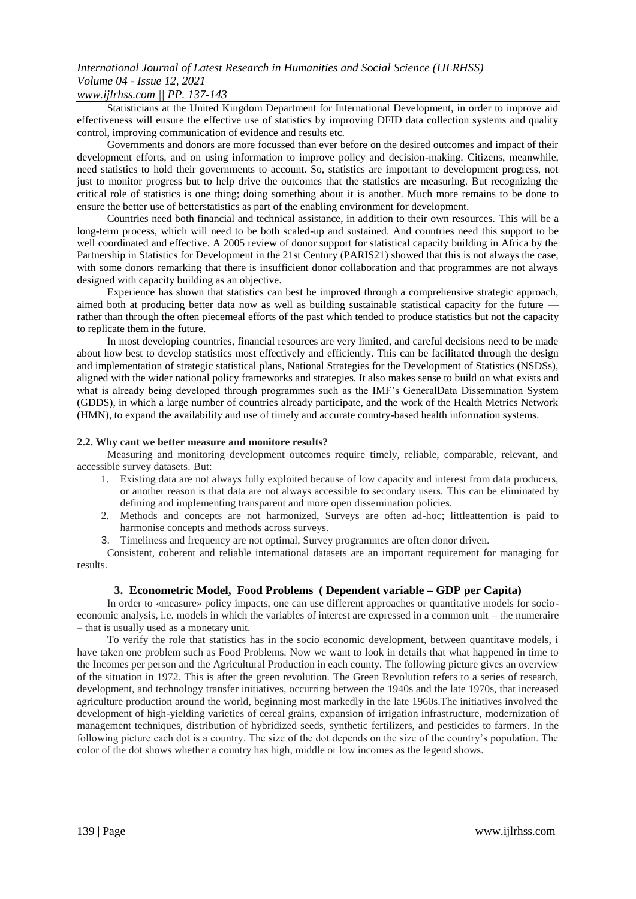## *www.ijlrhss.com || PP. 137-143*

Statisticians at the United Kingdom Department for International Development, in order to improve aid effectiveness will ensure the effective use of statistics by improving DFID data collection systems and quality control, improving communication of evidence and results etc.

Governments and donors are more focussed than ever before on the desired outcomes and impact of their development efforts, and on using information to improve policy and decision-making. Citizens, meanwhile, need statistics to hold their governments to account. So, statistics are important to development progress, not just to monitor progress but to help drive the outcomes that the statistics are measuring. But recognizing the critical role of statistics is one thing; doing something about it is another. Much more remains to be done to ensure the better use of betterstatistics as part of the enabling environment for development.

Countries need both financial and technical assistance, in addition to their own resources. This will be a long-term process, which will need to be both scaled-up and sustained. And countries need this support to be well coordinated and effective. A 2005 review of donor support for statistical capacity building in Africa by the Partnership in Statistics for Development in the 21st Century (PARIS21) showed that this is not always the case, with some donors remarking that there is insufficient donor collaboration and that programmes are not always designed with capacity building as an objective.

Experience has shown that statistics can best be improved through a comprehensive strategic approach, aimed both at producing better data now as well as building sustainable statistical capacity for the future rather than through the often piecemeal efforts of the past which tended to produce statistics but not the capacity to replicate them in the future.

In most developing countries, financial resources are very limited, and careful decisions need to be made about how best to develop statistics most effectively and efficiently. This can be facilitated through the design and implementation of strategic statistical plans, National Strategies for the Development of Statistics (NSDSs), aligned with the wider national policy frameworks and strategies. It also makes sense to build on what exists and what is already being developed through programmes such as the IMF's GeneralData Dissemination System (GDDS), in which a large number of countries already participate, and the work of the Health Metrics Network (HMN)*,* to expand the availability and use of timely and accurate country-based health information systems.

#### **2.2. Why cant we better measure and monitore results?**

Measuring and monitoring development outcomes require timely, reliable, comparable, relevant, and accessible survey datasets. But:

- 1. Existing data are not always fully exploited because of low capacity and interest from data producers, or another reason is that data are not always accessible to secondary users. This can be eliminated by defining and implementing transparent and more open dissemination policies.
- 2. Methods and concepts are not harmonized, Surveys are often ad-hoc; littleattention is paid to harmonise concepts and methods across surveys.
- 3. Timeliness and frequency are not optimal, Survey programmes are often donor driven.

Consistent, coherent and reliable international datasets are an important requirement for managing for results.

#### **3. Econometric Model, Food Problems ( Dependent variable – GDP per Capita)**

In order to «measure» policy impacts, one can use different approaches or quantitative models for socioeconomic analysis, i.e. models in which the variables of interest are expressed in a common unit – the numeraire – that is usually used as a monetary unit.

To verify the role that statistics has in the socio economic development, between quantitave models, i have taken one problem such as Food Problems. Now we want to look in details that what happened in time to the Incomes per person and the Agricultural Production in each county. The following picture gives an overview of the situation in 1972. This is after the green revolution. The Green Revolution refers to a series of research, development, and technology transfer initiatives, occurring between the 1940s and the late 1970s, that increased agriculture production around the world, beginning most markedly in the late 1960s.The initiatives involved the development of high-yielding varieties of cereal grains, expansion of irrigation infrastructure, modernization of management techniques, distribution of hybridized seeds, synthetic fertilizers, and pesticides to farmers. In the following picture each dot is a country. The size of the dot depends on the size of the country's population. The color of the dot shows whether a country has high, middle or low incomes as the legend shows.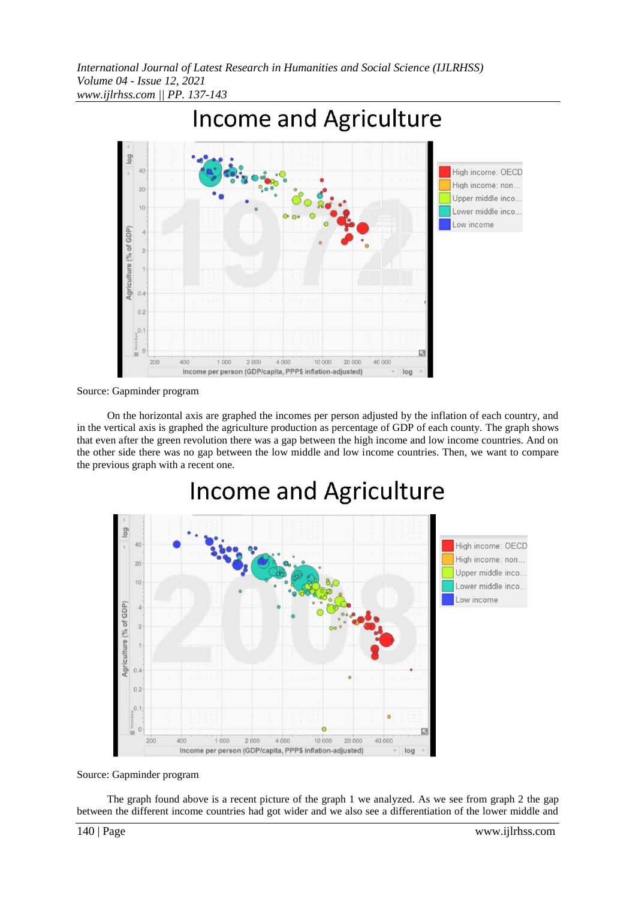

Source: Gapminder program

On the horizontal axis are graphed the incomes per person adjusted by the inflation of each country, and in the vertical axis is graphed the agriculture production as percentage of GDP of each county. The graph shows that even after the green revolution there was a gap between the high income and low income countries. And on the other side there was no gap between the low middle and low income countries. Then, we want to compare the previous graph with a recent one.

# Income and Agriculture



Source: Gapminder program

The graph found above is a recent picture of the graph 1 we analyzed. As we see from graph 2 the gap between the different income countries had got wider and we also see a differentiation of the lower middle and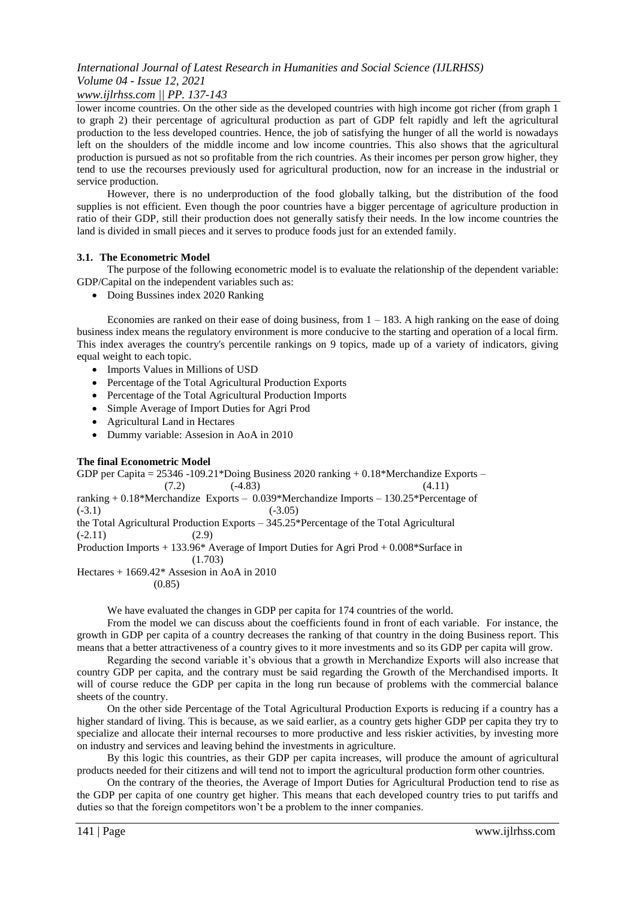## *www.ijlrhss.com || PP. 137-143*

lower income countries. On the other side as the developed countries with high income got richer (from graph 1 to graph 2) their percentage of agricultural production as part of GDP felt rapidly and left the agricultural production to the less developed countries. Hence, the job of satisfying the hunger of all the world is nowadays left on the shoulders of the middle income and low income countries. This also shows that the agricultural production is pursued as not so profitable from the rich countries. As their incomes per person grow higher, they tend to use the recourses previously used for agricultural production, now for an increase in the industrial or service production.

However, there is no underproduction of the food globally talking, but the distribution of the food supplies is not efficient. Even though the poor countries have a bigger percentage of agriculture production in ratio of their GDP, still their production does not generally satisfy their needs. In the low income countries the land is divided in small pieces and it serves to produce foods just for an extended family.

#### **3.1. The Econometric Model**

The purpose of the following econometric model is to evaluate the relationship of the dependent variable: GDP/Capital on the independent variables such as:

Doing Bussines index 2020 Ranking

Economies are ranked on their ease of doing business, from  $1 - 183$ . A high ranking on the ease of doing business index means the regulatory environment is more conducive to the starting and operation of a local firm. This index averages the country's percentile rankings on 9 topics, made up of a variety of indicators, giving equal weight to each topic.

- Imports Values in Millions of USD
- Percentage of the Total Agricultural Production Exports
- Percentage of the Total Agricultural Production Imports
- Simple Average of Import Duties for Agri Prod
- Agricultural Land in Hectares
- Dummy variable: Assesion in AoA in 2010

#### **The final Econometric Model**

GDP per Capita = 25346 -109.21\*Doing Business 2020 ranking + 0.18\*Merchandize Exports –  $(7.2)$   $(-4.83)$   $(4.11)$ ranking + 0.18\*Merchandize Exports – 0.039\*Merchandize Imports – 130.25\*Percentage of  $(-3.1)$   $(-3.05)$ the Total Agricultural Production Exports – 345.25\*Percentage of the Total Agricultural  $(-2.11)$  (2.9) Production Imports + 133.96\* Average of Import Duties for Agri Prod + 0.008\*Surface in (1.703) Hectares + 1669.42\* Assesion in AoA in 2010 (0.85)

We have evaluated the changes in GDP per capita for 174 countries of the world.

From the model we can discuss about the coefficients found in front of each variable. For instance, the growth in GDP per capita of a country decreases the ranking of that country in the doing Business report. This means that a better attractiveness of a country gives to it more investments and so its GDP per capita will grow.

Regarding the second variable it's obvious that a growth in Merchandize Exports will also increase that country GDP per capita, and the contrary must be said regarding the Growth of the Merchandised imports. It will of course reduce the GDP per capita in the long run because of problems with the commercial balance sheets of the country.

On the other side Percentage of the Total Agricultural Production Exports is reducing if a country has a higher standard of living. This is because, as we said earlier, as a country gets higher GDP per capita they try to specialize and allocate their internal recourses to more productive and less riskier activities, by investing more on industry and services and leaving behind the investments in agriculture.

By this logic this countries, as their GDP per capita increases, will produce the amount of agricultural products needed for their citizens and will tend not to import the agricultural production form other countries.

On the contrary of the theories, the Average of Import Duties for Agricultural Production tend to rise as the GDP per capita of one country get higher. This means that each developed country tries to put tariffs and duties so that the foreign competitors won't be a problem to the inner companies.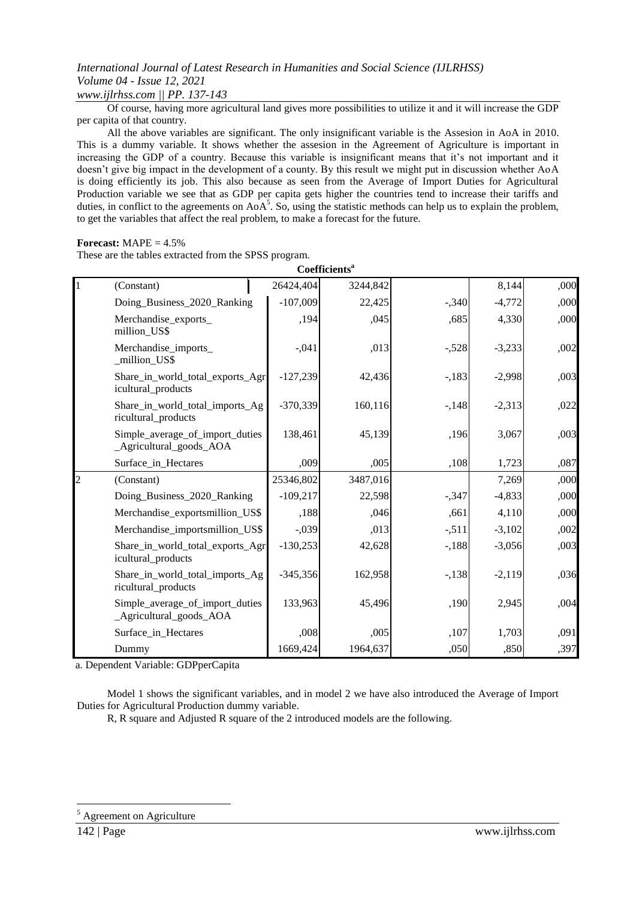*www.ijlrhss.com || PP. 137-143*

Of course, having more agricultural land gives more possibilities to utilize it and it will increase the GDP per capita of that country.

All the above variables are significant. The only insignificant variable is the Assesion in AoA in 2010. This is a dummy variable. It shows whether the assesion in the Agreement of Agriculture is important in increasing the GDP of a country. Because this variable is insignificant means that it's not important and it doesn't give big impact in the development of a county. By this result we might put in discussion whether AoA is doing efficiently its job. This also because as seen from the Average of Import Duties for Agricultural Production variable we see that as GDP per capita gets higher the countries tend to increase their tariffs and duties, in conflict to the agreements on  $AoA<sup>5</sup>$ . So, using the statistic methods can help us to explain the problem, to get the variables that affect the real problem, to make a forecast for the future.

#### **Forecast:**  $MAPE = 4.5\%$

These are the tables extracted from the SPSS program.

| Coefficients <sup>a</sup> |                                                            |            |          |        |          |      |
|---------------------------|------------------------------------------------------------|------------|----------|--------|----------|------|
| $\mathbf{1}$              | (Constant)                                                 | 26424,404  | 3244,842 |        | 8,144    | ,000 |
|                           | Doing_Business_2020_Ranking                                | $-107,009$ | 22,425   | $-340$ | $-4,772$ | ,000 |
|                           | Merchandise_exports_<br>million_US\$                       | ,194       | ,045     | ,685   | 4,330    | ,000 |
|                           | Merchandise_imports_<br>_million_US\$                      | $-0.041$   | ,013     | $-528$ | $-3,233$ | ,002 |
|                           | Share_in_world_total_exports_Agr<br>icultural_products     | $-127,239$ | 42,436   | $-183$ | $-2,998$ | ,003 |
|                           | Share_in_world_total_imports_Ag<br>ricultural_products     | $-370,339$ | 160,116  | $-148$ | $-2,313$ | ,022 |
|                           | Simple_average_of_import_duties<br>_Agricultural_goods_AOA | 138,461    | 45,139   | ,196   | 3,067    | ,003 |
|                           | Surface_in_Hectares                                        | ,009       | ,005     | ,108   | 1,723    | ,087 |
| $\overline{c}$            | (Constant)                                                 | 25346,802  | 3487,016 |        | 7,269    | ,000 |
|                           | Doing_Business_2020_Ranking                                | $-109,217$ | 22,598   | $-347$ | $-4,833$ | ,000 |
|                           | Merchandise_exportsmillion_US\$                            | ,188       | ,046     | ,661   | 4,110    | ,000 |
|                           | Merchandise importsmillion US\$                            | $-.039$    | ,013     | $-511$ | $-3,102$ | ,002 |
|                           | Share_in_world_total_exports_Agr<br>icultural_products     | $-130,253$ | 42,628   | $-188$ | $-3,056$ | ,003 |
|                           | Share_in_world_total_imports_Ag<br>ricultural_products     | $-345,356$ | 162,958  | $-138$ | $-2,119$ | ,036 |
|                           | Simple_average_of_import_duties<br>_Agricultural_goods_AOA | 133,963    | 45,496   | ,190   | 2,945    | ,004 |
|                           | Surface_in_Hectares                                        | ,008       | ,005     | ,107   | 1,703    | ,091 |
|                           | Dummy                                                      | 1669,424   | 1964,637 | ,050   | ,850     | ,397 |

a. Dependent Variable: GDPperCapita

Model 1 shows the significant variables, and in model 2 we have also introduced the Average of Import Duties for Agricultural Production dummy variable.

R, R square and Adjusted R square of the 2 introduced models are the following.

**.** 

<sup>5</sup> Agreement on Agriculture